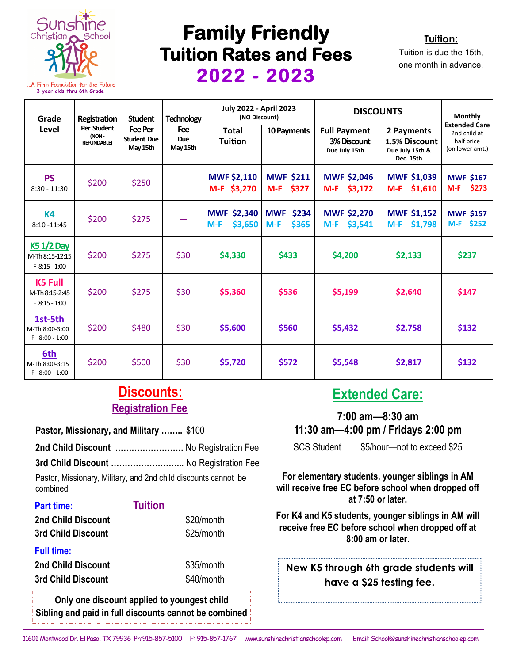

**3 year olds thru 6th Grade**

## **Family Friendly Tuition Rates and Fees 2022 - 2023**



Tuition is due the 15th, one month in advance.

| Grade<br>Level                                       | Registration<br>Per Student<br>(NON-<br><b>REFUNDABLE)</b> | <b>Student</b><br>Fee Per<br><b>Student Due</b><br>May 15th | <b>Technology</b><br><b>Fee</b><br><b>Due</b><br>May 15th | <b>July 2022 - April 2023</b><br>(NO Discount) |                                       | <b>DISCOUNTS</b>                                    |                                                             | <b>Monthly</b>                                                        |
|------------------------------------------------------|------------------------------------------------------------|-------------------------------------------------------------|-----------------------------------------------------------|------------------------------------------------|---------------------------------------|-----------------------------------------------------|-------------------------------------------------------------|-----------------------------------------------------------------------|
|                                                      |                                                            |                                                             |                                                           | Total<br><b>Tuition</b>                        | 10 Payments                           | <b>Full Payment</b><br>3% Discount<br>Due July 15th | 2 Payments<br>1.5% Discount<br>Due July 15th &<br>Dec. 15th | <b>Extended Care</b><br>2nd child at<br>half price<br>(on lower amt.) |
| PS<br>$8:30 - 11:30$                                 | \$200                                                      | \$250                                                       |                                                           | <b>MWF \$2,110</b><br>M-F \$3,270              | <b>MWF \$211</b><br>$M-F$<br>\$327    | <b>MWF \$2,046</b><br>\$3,172<br>$M-F$              | <b>MWF \$1,039</b><br>\$1,610<br>$M-F$                      | <b>MWF \$167</b><br>\$273<br>$M-F$                                    |
| <u>K4</u><br>$8:10 - 11:45$                          | \$200                                                      | \$275                                                       |                                                           | <b>MWF \$2,340</b><br>\$3,650<br>$M-F$         | <b>MWF</b><br>\$234<br>\$365<br>$M-F$ | <b>MWF \$2,270</b><br>$M-F$ \$3,541                 | <b>MWF \$1,152</b><br>$M-F$<br>\$1,798                      | <b>MWF \$157</b><br>M-F \$252                                         |
| <b>K51/2 Day</b><br>M-Th 8:15-12:15<br>F 8:15 - 1:00 | \$200                                                      | \$275                                                       | \$30                                                      | \$4,330                                        | \$433                                 | \$4,200                                             | \$2,133                                                     | \$237                                                                 |
| K5 Full<br>M-Th 8:15-2:45<br>F 8:15 - 1:00           | \$200                                                      | \$275                                                       | \$30                                                      | \$5,360                                        | \$536                                 | \$5,199                                             | \$2,640                                                     | \$147                                                                 |
| 1st-5th<br>M-Th 8:00-3:00<br>F 8:00 - 1:00           | \$200                                                      | \$480                                                       | \$30                                                      | \$5,600                                        | \$560                                 | \$5,432                                             | \$2,758                                                     | \$132                                                                 |
| 6th<br>M-Th 8:00-3:15<br>F 8:00 - 1:00               | \$200                                                      | \$500                                                       | \$30                                                      | \$5,720                                        | \$572                                 | \$5,548                                             | \$2,817                                                     | \$132                                                                 |

## **Registration Fee Discounts:**

**Pastor, Missionary, and Military ……..** \$100

**2nd Child Discount …………………….** No Registration Fee **3rd Child Discount ……………………...** No Registration Fee Pastor, Missionary, Military, and 2nd child discounts cannot be

| combined           |                |
|--------------------|----------------|
| Part time:         | <b>Tuition</b> |
| 2nd Child Discount | \$20/month     |
| 3rd Child Discount | \$25/month     |
| <b>Full time:</b>  |                |
| 2nd Child Discount | \$35/month     |
| 3rd Child Discount | \$40/month     |

**Only one discount applied to youngest child Sibling and paid in full discounts cannot be combined**

## **Extended Care:**

**7:00 am—8:30 am 11:30 am—4:00 pm / Fridays 2:00 pm**

SCS Student \$5/hour—not to exceed \$25

**For elementary students, younger siblings in AM will receive free EC before school when dropped off at 7:50 or later.** 

**For K4 and K5 students, younger siblings in AM will receive free EC before school when dropped off at 8:00 am or later.**

## **New K5 through 6th grade students will have a \$25 testing fee.**